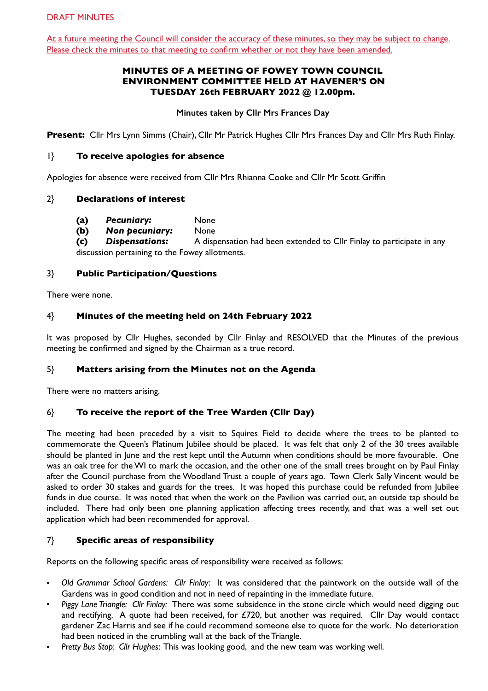At a future meeting the Council will consider the accuracy of these minutes, so they may be subject to change. Please check the minutes to that meeting to confirm whether or not they have been amended.

# **MINUTES OF A MEETING OF FOWEY TOWN COUNCIL ENVIRONMENT COMMITTEE HELD AT HAVENER'S ON TUESDAY 26th FEBRUARY 2022 @ 12.00pm.**

**Minutes taken by Cllr Mrs Frances Day** 

**Present:** Cllr Mrs Lynn Simms (Chair), Cllr Mr Patrick Hughes Cllr Mrs Frances Day and Cllr Mrs Ruth Finlay.

### 1} **To receive apologies for absence**

Apologies for absence were received from Cllr Mrs Rhianna Cooke and Cllr Mr Scott Griffin

### 2} **Declarations of interest**

- **(a)** *Pecuniary:* None
- **(b)** *Non pecuniary:* None

**(c)** *Dispensations:* A dispensation had been extended to Cllr Finlay to participate in any discussion pertaining to the Fowey allotments.

### 3} **Public Participation/Questions**

There were none.

## 4} **Minutes of the meeting held on 24th February 2022**

It was proposed by Cllr Hughes, seconded by Cllr Finlay and RESOLVED that the Minutes of the previous meeting be confirmed and signed by the Chairman as a true record.

### 5} **Matters arising from the Minutes not on the Agenda**

There were no matters arising.

### 6} **To receive the report of the Tree Warden (Cllr Day)**

The meeting had been preceded by a visit to Squires Field to decide where the trees to be planted to commemorate the Queen's Platinum Jubilee should be placed. It was felt that only 2 of the 30 trees available should be planted in June and the rest kept until the Autumn when conditions should be more favourable. One was an oak tree for the WI to mark the occasion, and the other one of the small trees brought on by Paul Finlay after the Council purchase from the Woodland Trust a couple of years ago. Town Clerk Sally Vincent would be asked to order 30 stakes and guards for the trees. It was hoped this purchase could be refunded from Jubilee funds in due course. It was noted that when the work on the Pavilion was carried out, an outside tap should be included. There had only been one planning application affecting trees recently, and that was a well set out application which had been recommended for approval.

### 7} **Specific areas of responsibility**

Reports on the following specific areas of responsibility were received as follows:

- *Old Grammar School Gardens: Cllr Finlay*: It was considered that the paintwork on the outside wall of the Gardens was in good condition and not in need of repainting in the immediate future.
- *Piggy Lane Triangle: Cllr Finlay:* There was some subsidence in the stone circle which would need digging out and rectifying. A quote had been received, for £720, but another was required. Cllr Day would contact gardener Zac Harris and see if he could recommend someone else to quote for the work. No deterioration had been noticed in the crumbling wall at the back of the Triangle.
- *Pretty Bus Stop*: *Cllr Hughes*: This was looking good, and the new team was working well.